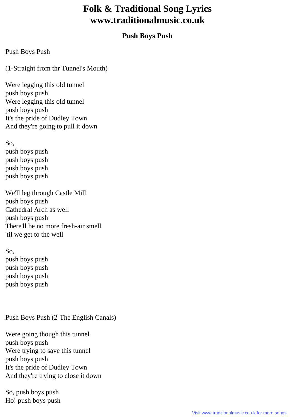## **Folk & Traditional Song Lyrics www.traditionalmusic.co.uk**

## **Push Boys Push**

Push Boys Push

(1-Straight from thr Tunnel's Mouth)

Were legging this old tunnel push boys push Were legging this old tunnel push boys push It's the pride of Dudley Town And they're going to pull it down

So, push boys push push boys push push boys push push boys push

We'll leg through Castle Mill push boys push Cathedral Arch as well push boys push There'll be no more fresh-air smell 'til we get to the well

So, push boys push push boys push push boys push push boys push

Push Boys Push (2-The English Canals)

Were going though this tunnel push boys push Were trying to save this tunnel push boys push It's the pride of Dudley Town And they're trying to close it down

So, push boys push Ho! push boys push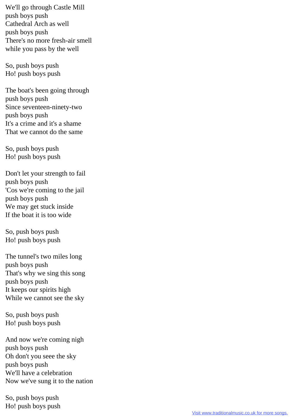We'll go through Castle Mill push boys push Cathedral Arch as well push boys push There's no more fresh-air smell while you pass by the well

So, push boys push Ho! push boys push

The boat's been going through push boys push Since seventeen-ninety-two push boys push It's a crime and it's a shame That we cannot do the same

So, push boys push Ho! push boys push

Don't let your strength to fail push boys push 'Cos we're coming to the jail push boys push We may get stuck inside If the boat it is too wide

So, push boys push Ho! push boys push

The tunnel's two miles long push boys push That's why we sing this song push boys push It keeps our spirits high While we cannot see the sky

So, push boys push Ho! push boys push

And now we're coming nigh push boys push Oh don't you seee the sky push boys push We'll have a celebration Now we've sung it to the nation

So, push boys push Ho! push boys push